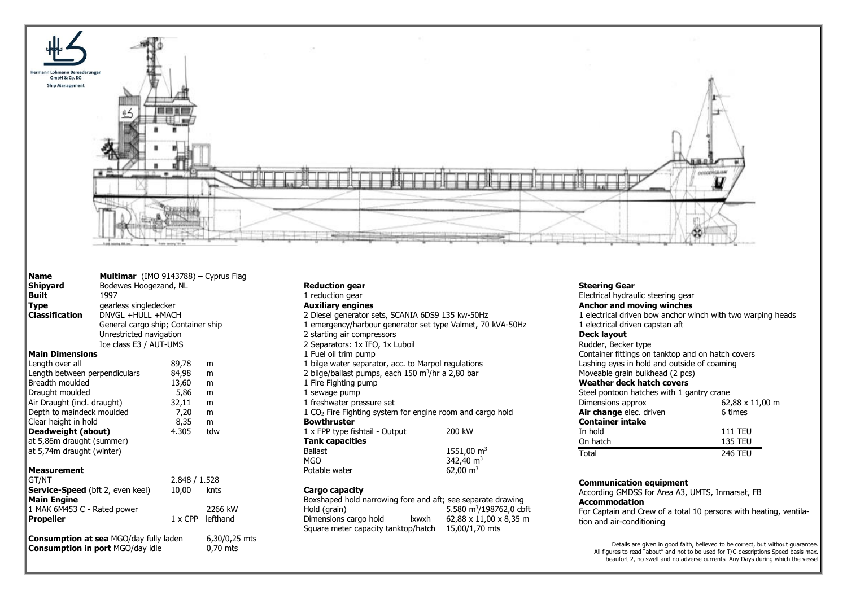

| <b>Name</b><br>Shipyard<br><b>Built</b><br><b>Type</b><br><b>Classification</b>                                                                                                                                                                            | <b>Multimar</b> (IMO 9143788) – Cyprus Flag<br>Bodewes Hoogezand, NL<br>1997<br>gearless singledecker<br>$DNVGI + HUII + MACH$<br>General cargo ship; Container ship<br>Unrestricted navigation |                                                                   |                                        |
|------------------------------------------------------------------------------------------------------------------------------------------------------------------------------------------------------------------------------------------------------------|-------------------------------------------------------------------------------------------------------------------------------------------------------------------------------------------------|-------------------------------------------------------------------|----------------------------------------|
|                                                                                                                                                                                                                                                            | Ice class E3 / AUT-UMS                                                                                                                                                                          |                                                                   |                                        |
| <b>Main Dimensions</b>                                                                                                                                                                                                                                     |                                                                                                                                                                                                 |                                                                   |                                        |
| Length over all<br>Length between perpendiculars<br>Breadth moulded<br>Draught moulded<br>Air Draught (incl. draught)<br>Depth to maindeck moulded<br>Clear height in hold<br>Deadweight (about)<br>at 5,86m draught (summer)<br>at 5,74m draught (winter) |                                                                                                                                                                                                 | 89,78<br>84,98<br>13,60<br>5,86<br>32,11<br>7,20<br>8,35<br>4.305 | m<br>m<br>m<br>m<br>m<br>m<br>m<br>tdw |
| Measurement<br>GT/NT<br><b>Service-Speed</b> (bft 2, even keel)<br><b>Main Engine</b><br>1 MAK 6M453 C - Rated power<br><b>Propeller</b>                                                                                                                   |                                                                                                                                                                                                 | 2.848 / 1.528<br>10.00<br>1 x CPP lefthand                        | knts<br>2266 kW                        |
| <b>Consumption in port MGO/day idle</b>                                                                                                                                                                                                                    | <b>Consumption at sea MGO/day fully laden</b>                                                                                                                                                   |                                                                   | 6,30/0,25 mts<br>0,70 mts              |

| <b>Reduction gear</b>                                                 |                           |  |  |  |
|-----------------------------------------------------------------------|---------------------------|--|--|--|
| 1 reduction gear                                                      |                           |  |  |  |
| <b>Auxiliary engines</b>                                              |                           |  |  |  |
| 2 Diesel generator sets, SCANIA 6DS9 135 kw-50Hz                      |                           |  |  |  |
| 1 emergency/harbour generator set type Valmet, 70 kVA-50Hz            |                           |  |  |  |
| 2 starting air compressors                                            |                           |  |  |  |
| 2 Separators: 1x IFO, 1x Luboil                                       |                           |  |  |  |
| 1 Fuel oil trim pump                                                  |                           |  |  |  |
| 1 bilge water separator, acc. to Marpol regulations                   |                           |  |  |  |
| 2 bilge/ballast pumps, each 150 m <sup>3</sup> /hr a 2,80 bar         |                           |  |  |  |
| 1 Fire Fighting pump                                                  |                           |  |  |  |
| 1 sewage pump                                                         |                           |  |  |  |
| 1 freshwater pressure set                                             |                           |  |  |  |
| 1 CO <sub>2</sub> Fire Fighting system for engine room and cargo hold |                           |  |  |  |
| <b>Bowthruster</b>                                                    |                           |  |  |  |
| 1 x FPP type fishtail - Output                                        | 200 kW                    |  |  |  |
| <b>Tank capacities</b>                                                |                           |  |  |  |
| <b>Ballast</b>                                                        | $1551,00 \text{ m}^3$     |  |  |  |
| MGO                                                                   | 342,40 $m3$               |  |  |  |
| Potable water                                                         | 62,00 $\,$ m <sup>3</sup> |  |  |  |

## **Cargo capacity**

| Boxshaped hold narrowing fore and aft; see separate drawing |                |                                     |
|-------------------------------------------------------------|----------------|-------------------------------------|
| Hold (grain)                                                |                | 5.580 m <sup>3</sup> /198762,0 cbft |
| Dimensions cargo hold                                       | Ixwxh          | 62,88 x 11,00 x 8,35 m              |
| Square meter capacity tanktop/hatch                         | 15,00/1,70 mts |                                     |

## **Steering Gear**

Electrical hydraulic steering gear **Anchor and moving winches** 1 electrical driven bow anchor winch with two warping heads 1 electrical driven capstan aft **Deck layout** Rudder, Becker type Container fittings on tanktop and on hatch covers Lashing eyes in hold and outside of coaming Moveable grain bulkhead (2 pcs) **Weather deck hatch covers** Steel pontoon hatches with 1 gantry crane Dimensions approx 62,88 x 11,00 m **Air change** elec. driven **6** times **Container intake**<br>In hold In hold 111 TEU<br>On hatch 135 TEU **135 TEU** Total 246 TELL

## **Communication equipment**

According GMDSS for Area A3, UMTS, Inmarsat, FB **Accommodation**

For Captain and Crew of a total 10 persons with heating, ventilation and air-conditioning

Details are given in good faith, believed to be correct, but without guarantee. All figures to read "about" and not to be used for T/C-descriptions Speed basis max. beaufort 2, no swell and no adverse currents. Any Days during which the vessel